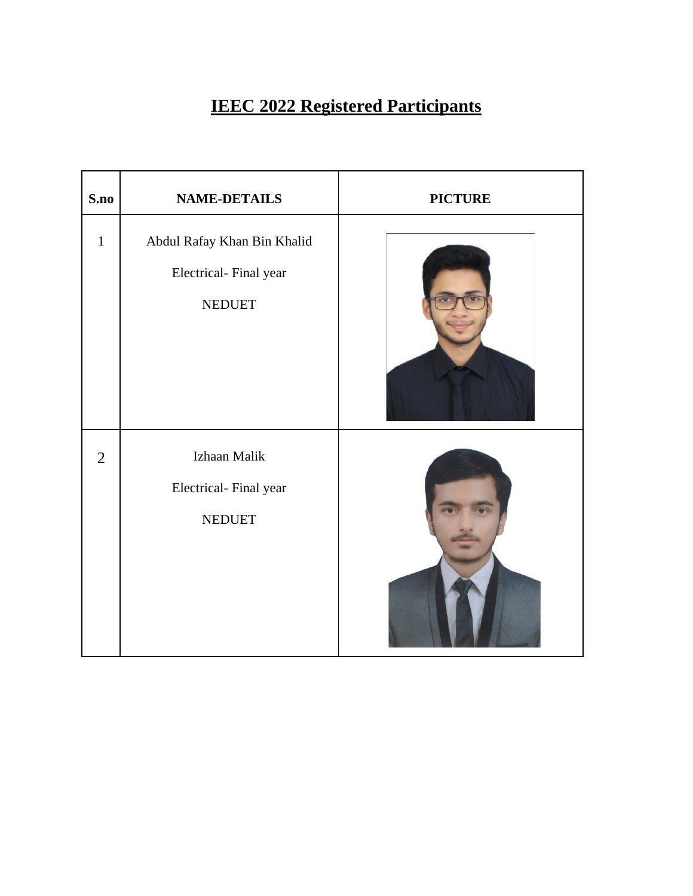## **IEEC 2022 Registered Participants**

| S.no           | <b>NAME-DETAILS</b>                                                   | <b>PICTURE</b> |
|----------------|-----------------------------------------------------------------------|----------------|
| $\mathbf{1}$   | Abdul Rafay Khan Bin Khalid<br>Electrical-Final year<br><b>NEDUET</b> |                |
| $\overline{2}$ | Izhaan Malik<br>Electrical-Final year<br><b>NEDUET</b>                |                |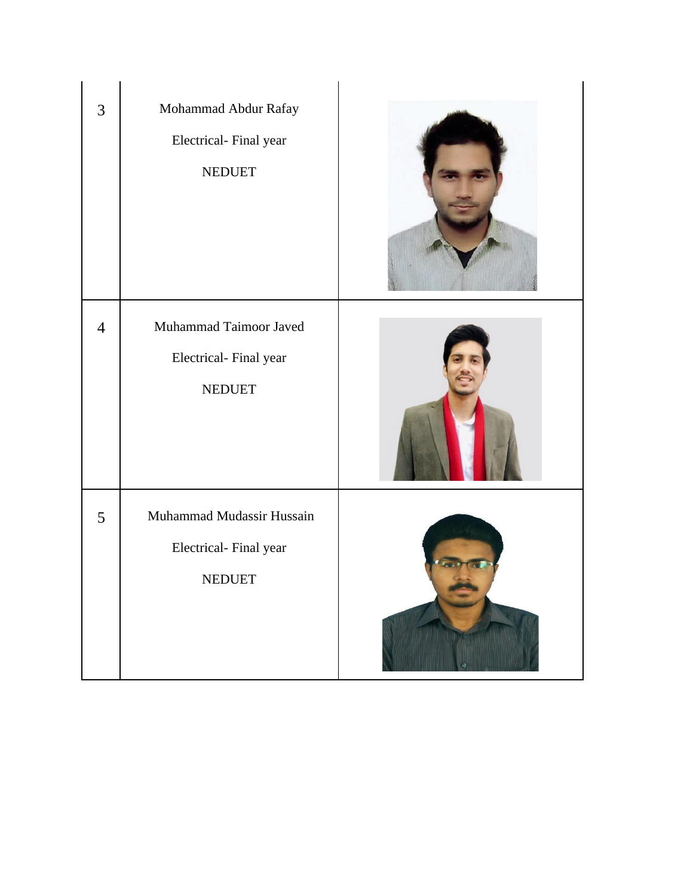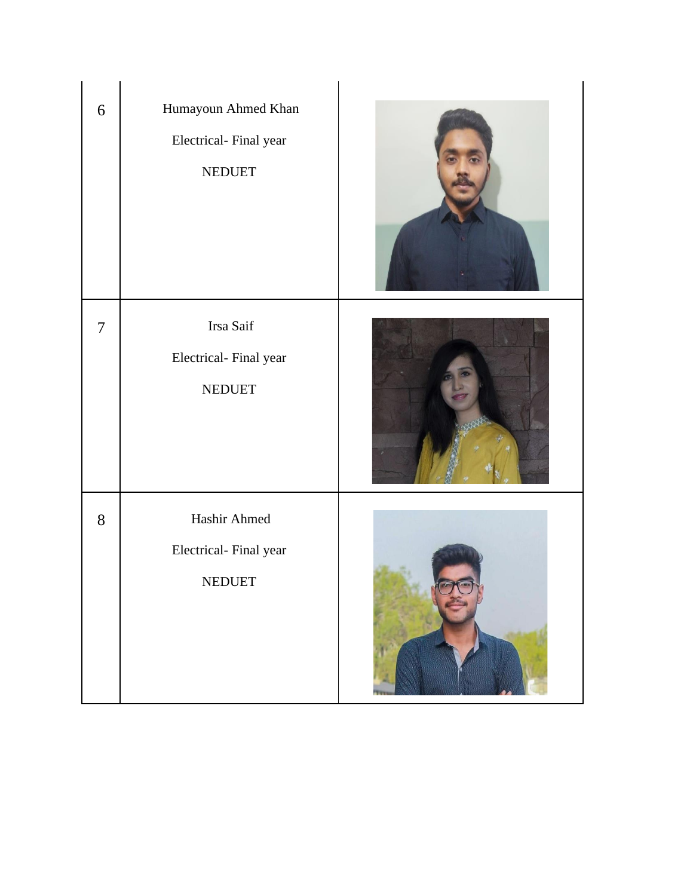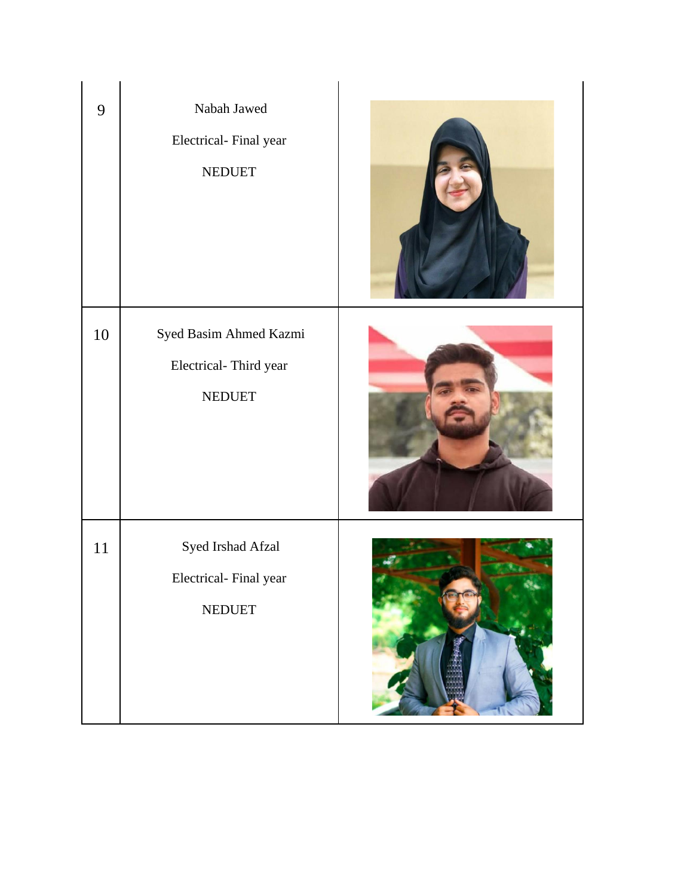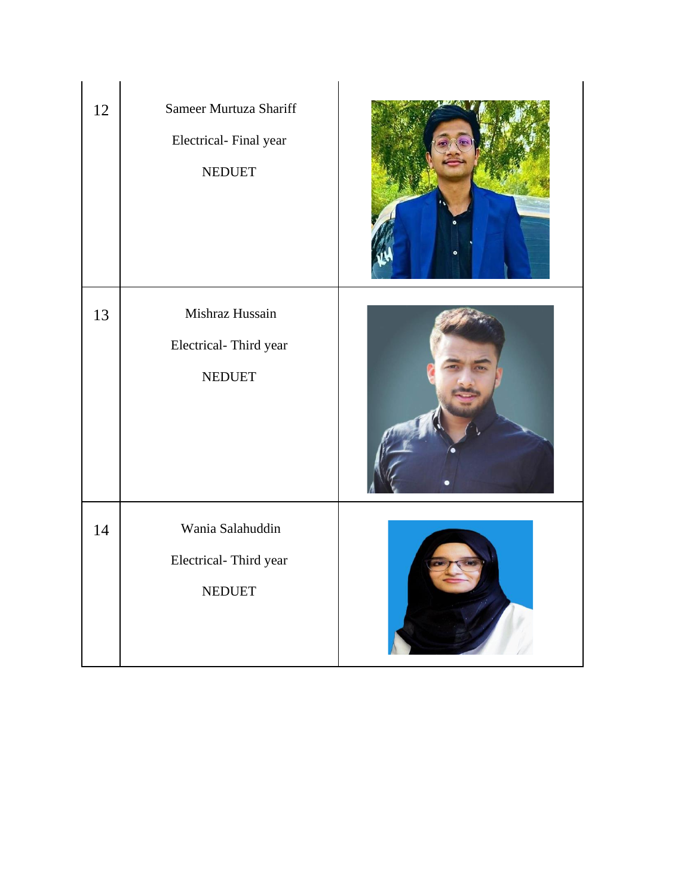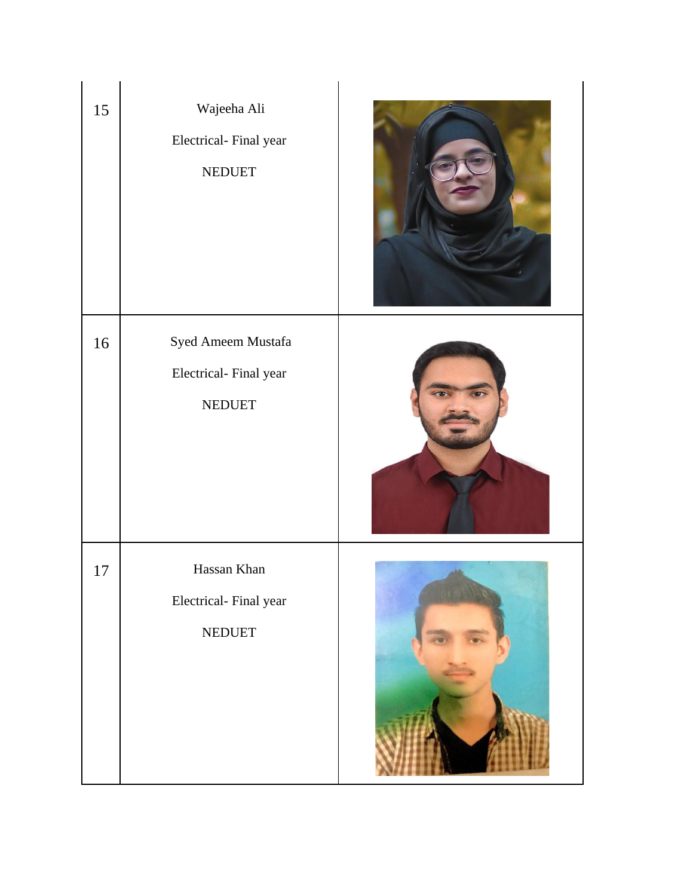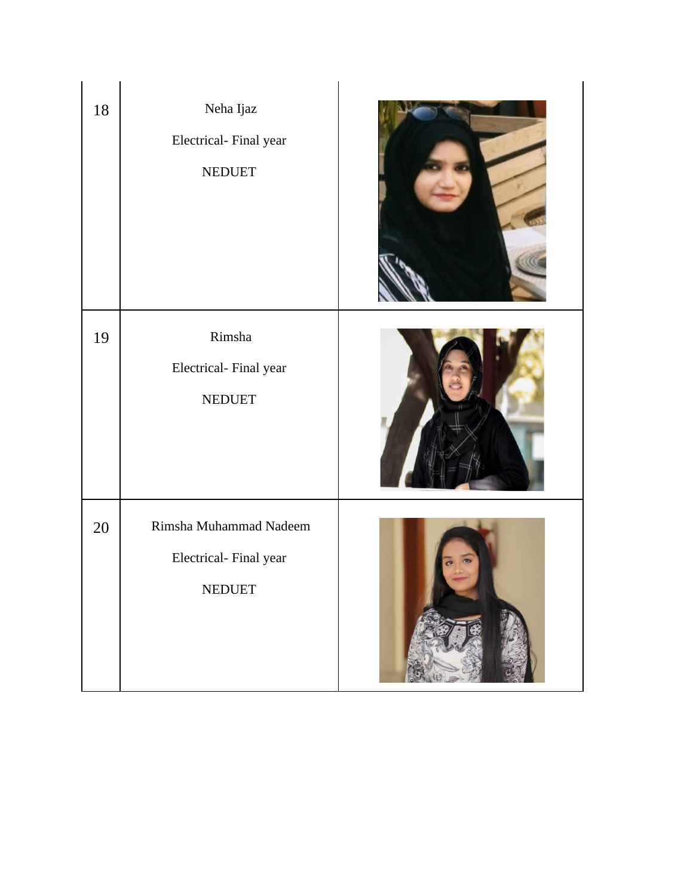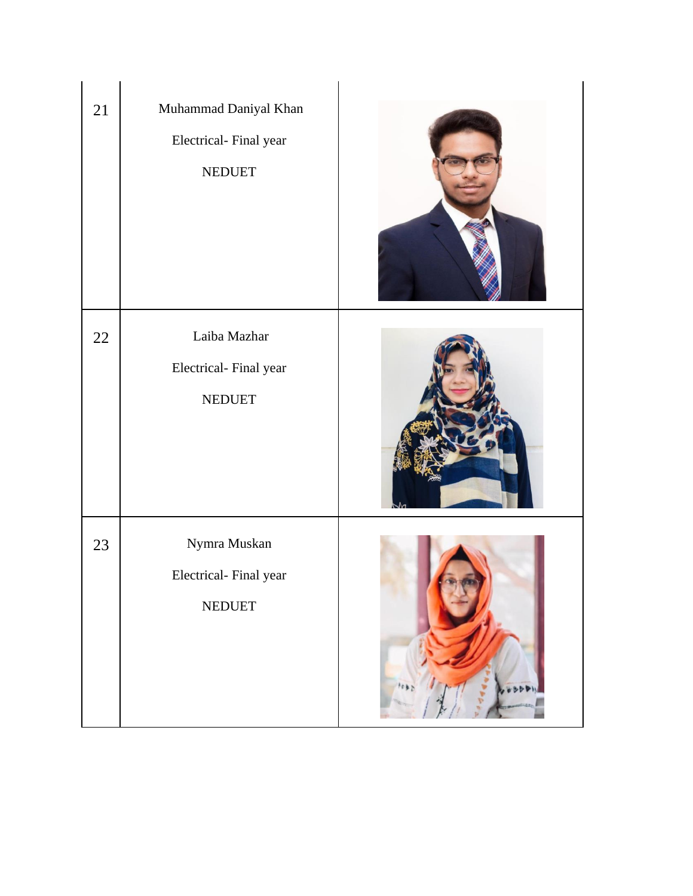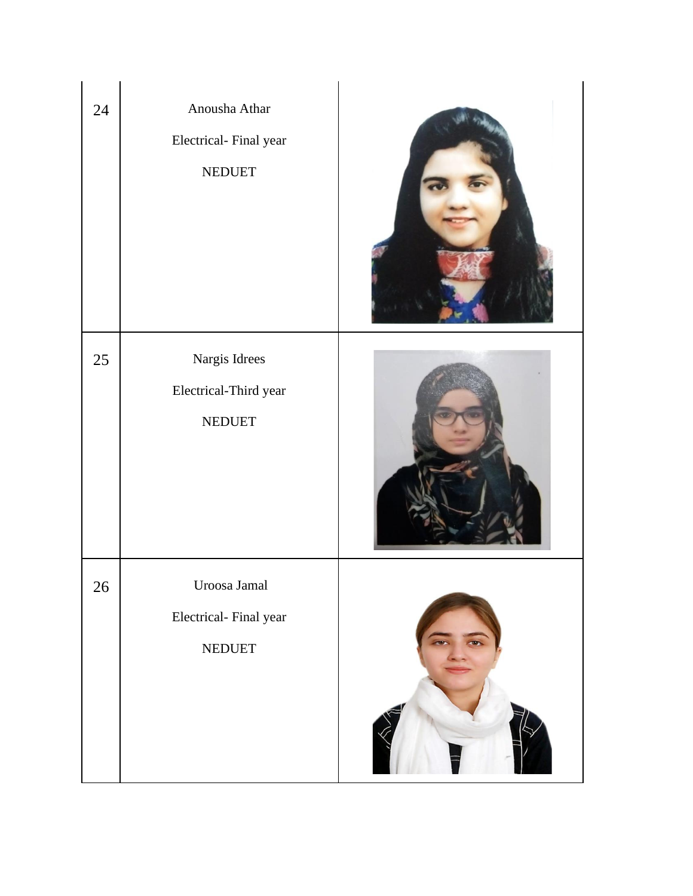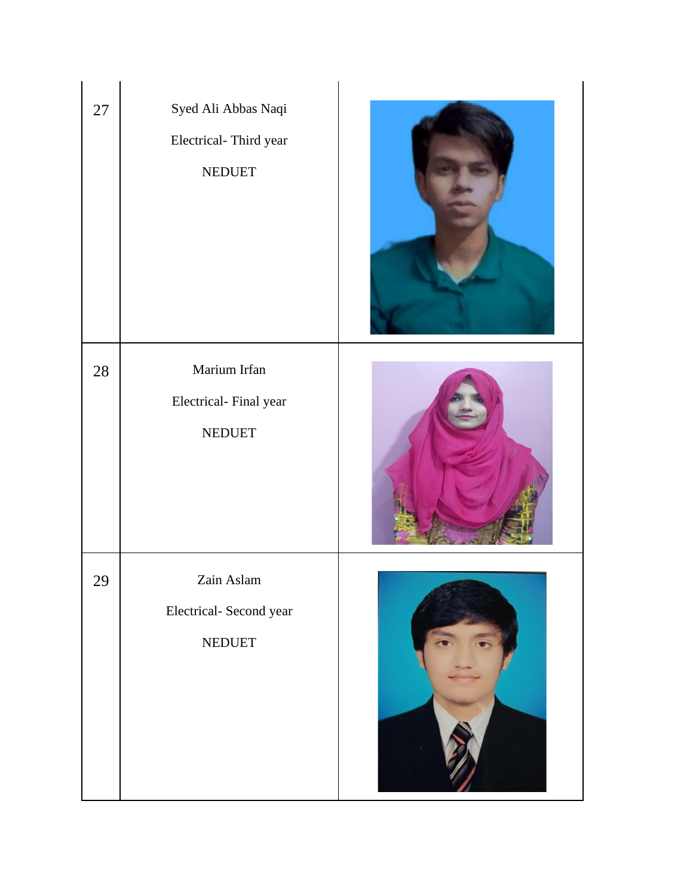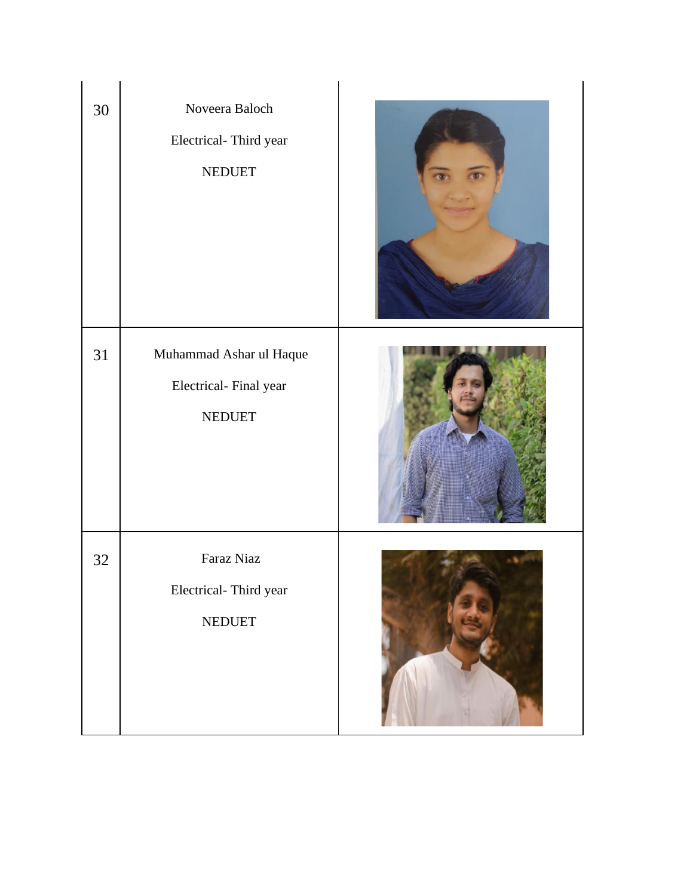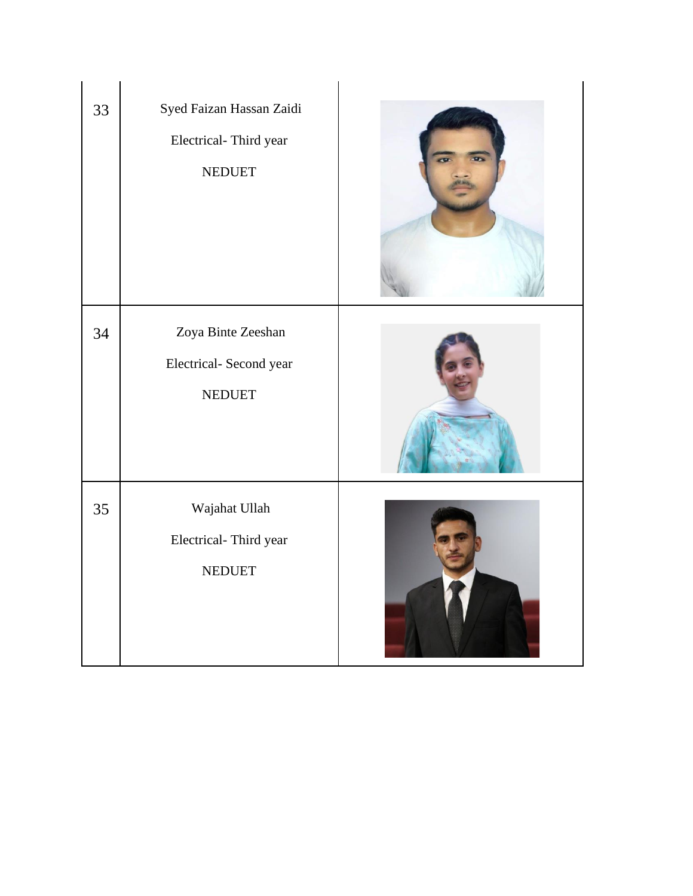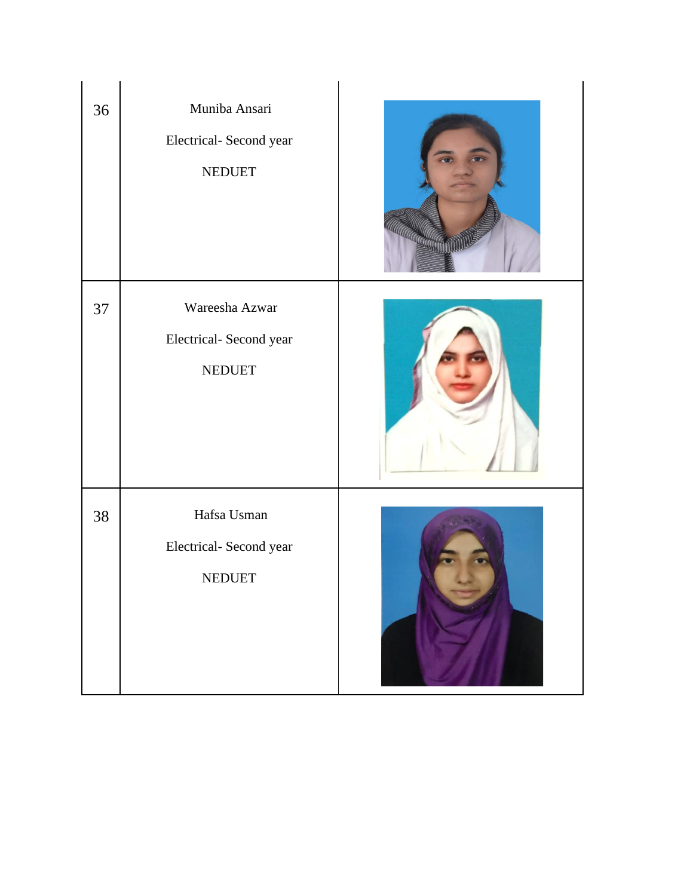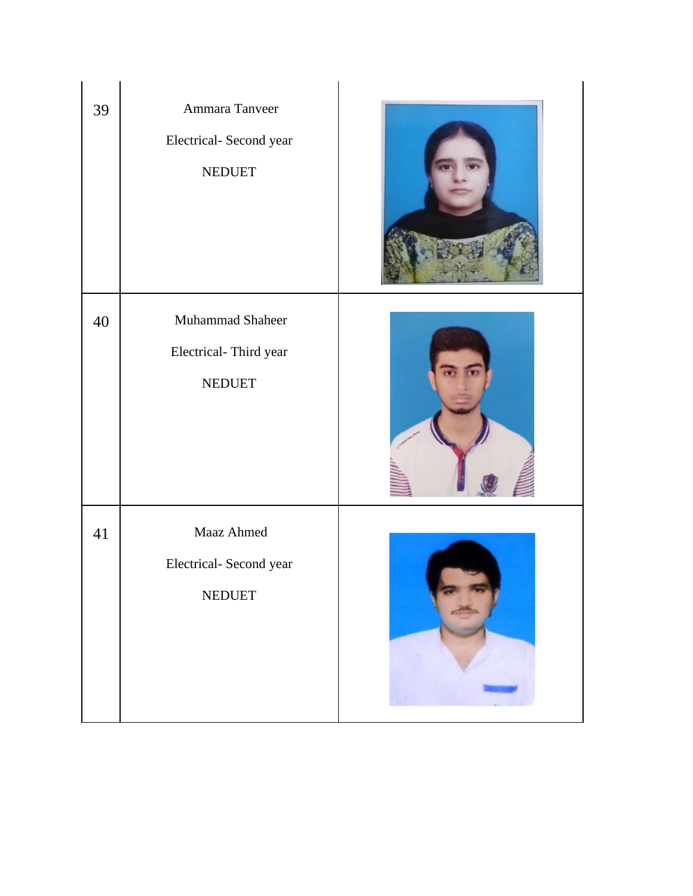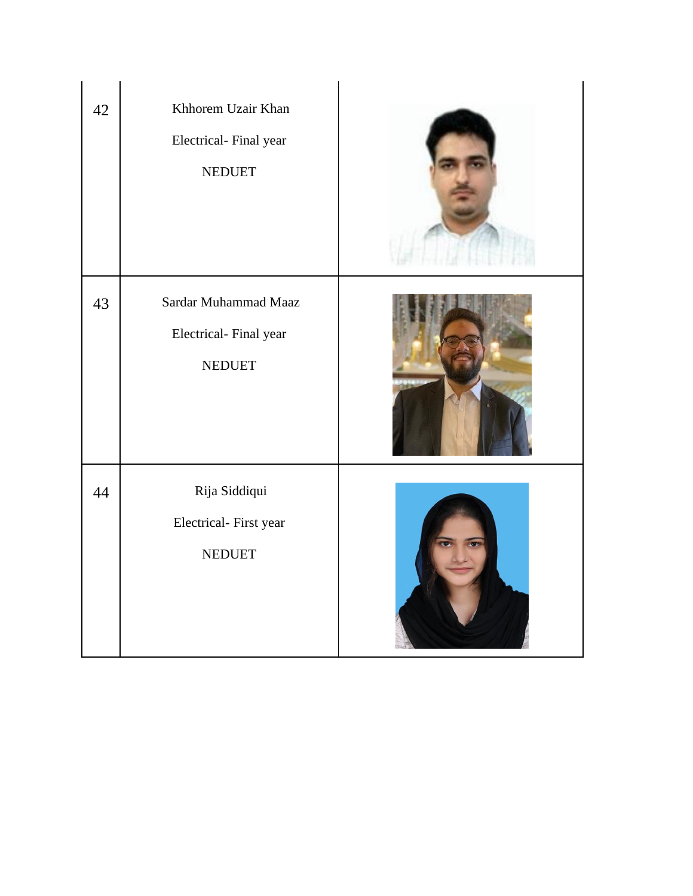